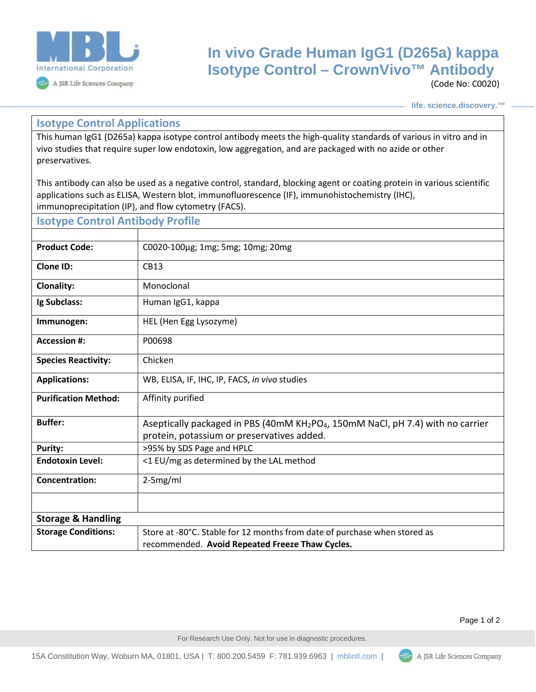

## **In vivo Grade Human IgG1 (D265a) kappa Isotype Control – CrownVivo™ Antibody**

(Code No: C0020)

**life. science.discovery.™**

## **Isotype Control Applications**

This human IgG1 (D265a) kappa isotype control antibody meets the high-quality standards of various in vitro and in vivo studies that require super low endotoxin, low aggregation, and are packaged with no azide or other preservatives.

This antibody can also be used as a negative control, standard, blocking agent or coating protein in various scientific applications such as ELISA, Western blot, immunofluorescence (IF), immunohistochemistry (IHC), immunoprecipitation (IP), and flow cytometry (FACS).

| <b>Isotype Control Antibody Profile</b> |                                                                                                                                                       |
|-----------------------------------------|-------------------------------------------------------------------------------------------------------------------------------------------------------|
|                                         |                                                                                                                                                       |
| <b>Product Code:</b>                    | C0020-100μg; 1mg; 5mg; 10mg; 20mg                                                                                                                     |
| Clone ID:                               | CB13                                                                                                                                                  |
| <b>Clonality:</b>                       | Monoclonal                                                                                                                                            |
| Ig Subclass:                            | Human IgG1, kappa                                                                                                                                     |
| Immunogen:                              | HEL (Hen Egg Lysozyme)                                                                                                                                |
| <b>Accession #:</b>                     | P00698                                                                                                                                                |
| <b>Species Reactivity:</b>              | Chicken                                                                                                                                               |
| <b>Applications:</b>                    | WB, ELISA, IF, IHC, IP, FACS, in vivo studies                                                                                                         |
| <b>Purification Method:</b>             | Affinity purified                                                                                                                                     |
| <b>Buffer:</b>                          | Aseptically packaged in PBS (40mM KH <sub>2</sub> PO <sub>4</sub> , 150mM NaCl, pH 7.4) with no carrier<br>protein, potassium or preservatives added. |
| Purity:                                 | >95% by SDS Page and HPLC                                                                                                                             |
| <b>Endotoxin Level:</b>                 | <1 EU/mg as determined by the LAL method                                                                                                              |
| <b>Concentration:</b>                   | $2-5mg/ml$                                                                                                                                            |
|                                         |                                                                                                                                                       |
| <b>Storage &amp; Handling</b>           |                                                                                                                                                       |
| <b>Storage Conditions:</b>              | Store at -80°C. Stable for 12 months from date of purchase when stored as                                                                             |
|                                         | recommended. Avoid Repeated Freeze Thaw Cycles.                                                                                                       |